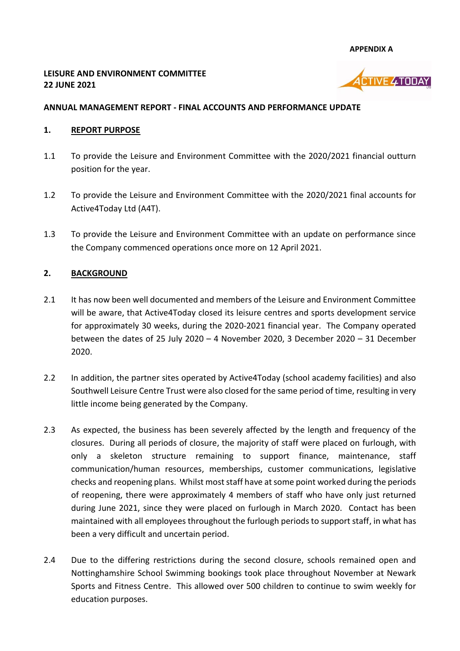**APPENDIX A**

## **LEISURE AND ENVIRONMENT COMMITTEE 22 JUNE 2021**



# **ANNUAL MANAGEMENT REPORT - FINAL ACCOUNTS AND PERFORMANCE UPDATE**

### **1. REPORT PURPOSE**

- 1.1 To provide the Leisure and Environment Committee with the 2020/2021 financial outturn position for the year.
- 1.2 To provide the Leisure and Environment Committee with the 2020/2021 final accounts for Active4Today Ltd (A4T).
- 1.3 To provide the Leisure and Environment Committee with an update on performance since the Company commenced operations once more on 12 April 2021.

## **2. BACKGROUND**

- 2.1 It has now been well documented and members of the Leisure and Environment Committee will be aware, that Active4Today closed its leisure centres and sports development service for approximately 30 weeks, during the 2020-2021 financial year. The Company operated between the dates of 25 July 2020 – 4 November 2020, 3 December 2020 – 31 December 2020.
- 2.2 In addition, the partner sites operated by Active4Today (school academy facilities) and also Southwell Leisure Centre Trust were also closed for the same period of time, resulting in very little income being generated by the Company.
- 2.3 As expected, the business has been severely affected by the length and frequency of the closures. During all periods of closure, the majority of staff were placed on furlough, with only a skeleton structure remaining to support finance, maintenance, staff communication/human resources, memberships, customer communications, legislative checks and reopening plans. Whilst most staff have at some point worked during the periods of reopening, there were approximately 4 members of staff who have only just returned during June 2021, since they were placed on furlough in March 2020. Contact has been maintained with all employees throughout the furlough periods to support staff, in what has been a very difficult and uncertain period.
- 2.4 Due to the differing restrictions during the second closure, schools remained open and Nottinghamshire School Swimming bookings took place throughout November at Newark Sports and Fitness Centre. This allowed over 500 children to continue to swim weekly for education purposes.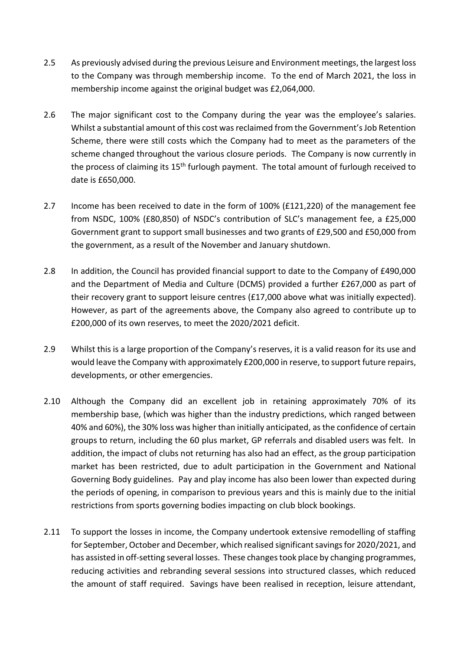- 2.5 As previously advised during the previous Leisure and Environment meetings, the largest loss to the Company was through membership income. To the end of March 2021, the loss in membership income against the original budget was £2,064,000.
- 2.6 The major significant cost to the Company during the year was the employee's salaries. Whilst a substantial amount of this cost was reclaimed from the Government's Job Retention Scheme, there were still costs which the Company had to meet as the parameters of the scheme changed throughout the various closure periods. The Company is now currently in the process of claiming its 15<sup>th</sup> furlough payment. The total amount of furlough received to date is £650,000.
- 2.7 Income has been received to date in the form of 100% (£121,220) of the management fee from NSDC, 100% (£80,850) of NSDC's contribution of SLC's management fee, a £25,000 Government grant to support small businesses and two grants of £29,500 and £50,000 from the government, as a result of the November and January shutdown.
- 2.8 In addition, the Council has provided financial support to date to the Company of £490,000 and the Department of Media and Culture (DCMS) provided a further £267,000 as part of their recovery grant to support leisure centres (£17,000 above what was initially expected). However, as part of the agreements above, the Company also agreed to contribute up to £200,000 of its own reserves, to meet the 2020/2021 deficit.
- 2.9 Whilst this is a large proportion of the Company's reserves, it is a valid reason for its use and would leave the Company with approximately £200,000 in reserve, to support future repairs, developments, or other emergencies.
- 2.10 Although the Company did an excellent job in retaining approximately 70% of its membership base, (which was higher than the industry predictions, which ranged between 40% and 60%), the 30% loss was higher than initially anticipated, as the confidence of certain groups to return, including the 60 plus market, GP referrals and disabled users was felt. In addition, the impact of clubs not returning has also had an effect, as the group participation market has been restricted, due to adult participation in the Government and National Governing Body guidelines. Pay and play income has also been lower than expected during the periods of opening, in comparison to previous years and this is mainly due to the initial restrictions from sports governing bodies impacting on club block bookings.
- 2.11 To support the losses in income, the Company undertook extensive remodelling of staffing for September, October and December, which realised significant savings for 2020/2021, and has assisted in off-setting several losses. These changes took place by changing programmes, reducing activities and rebranding several sessions into structured classes, which reduced the amount of staff required. Savings have been realised in reception, leisure attendant,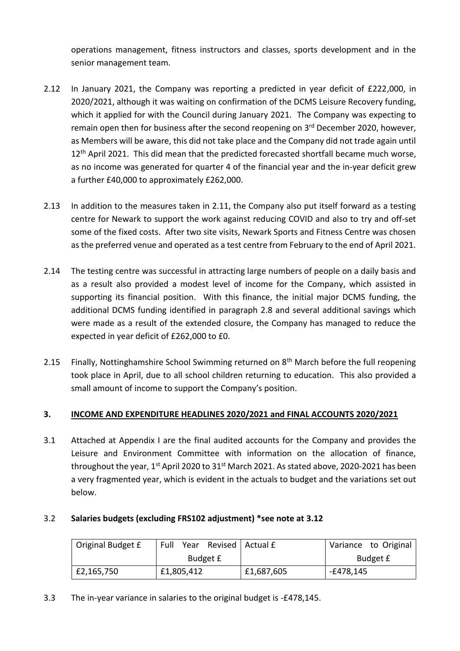operations management, fitness instructors and classes, sports development and in the senior management team.

- 2.12 In January 2021, the Company was reporting a predicted in year deficit of £222,000, in 2020/2021, although it was waiting on confirmation of the DCMS Leisure Recovery funding, which it applied for with the Council during January 2021. The Company was expecting to remain open then for business after the second reopening on 3<sup>rd</sup> December 2020, however, as Members will be aware, this did not take place and the Company did not trade again until 12<sup>th</sup> April 2021. This did mean that the predicted forecasted shortfall became much worse, as no income was generated for quarter 4 of the financial year and the in-year deficit grew a further £40,000 to approximately £262,000.
- 2.13 In addition to the measures taken in 2.11, the Company also put itself forward as a testing centre for Newark to support the work against reducing COVID and also to try and off-set some of the fixed costs. After two site visits, Newark Sports and Fitness Centre was chosen as the preferred venue and operated as a test centre from February to the end of April 2021.
- 2.14 The testing centre was successful in attracting large numbers of people on a daily basis and as a result also provided a modest level of income for the Company, which assisted in supporting its financial position. With this finance, the initial major DCMS funding, the additional DCMS funding identified in paragraph 2.8 and several additional savings which were made as a result of the extended closure, the Company has managed to reduce the expected in year deficit of £262,000 to £0.
- 2.15 Finally, Nottinghamshire School Swimming returned on  $8<sup>th</sup>$  March before the full reopening took place in April, due to all school children returning to education. This also provided a small amount of income to support the Company's position.

## **3. INCOME AND EXPENDITURE HEADLINES 2020/2021 and FINAL ACCOUNTS 2020/2021**

3.1 Attached at Appendix I are the final audited accounts for the Company and provides the Leisure and Environment Committee with information on the allocation of finance, throughout the year, 1<sup>st</sup> April 2020 to 31<sup>st</sup> March 2021. As stated above, 2020-2021 has been a very fragmented year, which is evident in the actuals to budget and the variations set out below.

## 3.2 **Salaries budgets (excluding FRS102 adjustment) \*see note at 3.12**

| Original Budget £ | Revised   Actual £<br>Full<br>Year |            | Variance to Original |
|-------------------|------------------------------------|------------|----------------------|
|                   | Budget £                           |            | Budget £             |
| £2,165,750        | £1,805,412                         | £1,687,605 | -£478,145            |

3.3 The in-year variance in salaries to the original budget is -£478,145.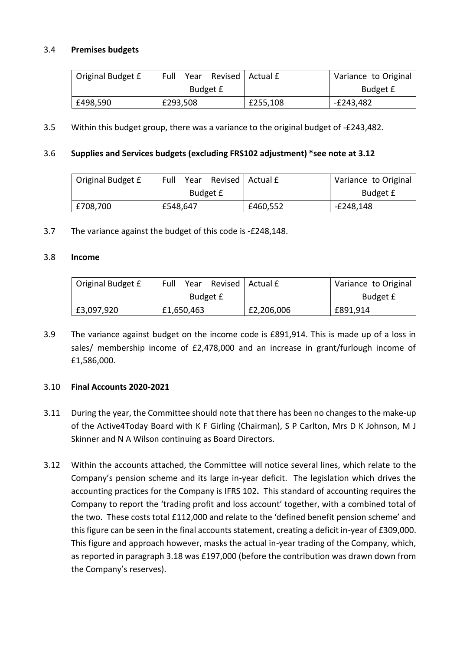### 3.4 **Premises budgets**

| Original Budget £ | Full<br>Year |  | Revised   Actual £ | Variance to Original |
|-------------------|--------------|--|--------------------|----------------------|
|                   | Budget £     |  |                    | Budget £             |
| £498,590          | £293,508     |  | £255,108           | E243,482-            |

3.5 Within this budget group, there was a variance to the original budget of -£243,482.

#### 3.6 **Supplies and Services budgets (excluding FRS102 adjustment) \*see note at 3.12**

| Original Budget £ | Full<br>Year | Revised   Actual £ | Variance to Original |
|-------------------|--------------|--------------------|----------------------|
|                   | Budget £     |                    | Budget £             |
| £708,700          | £548,647     | £460,552           | $-E248,148$          |

3.7 The variance against the budget of this code is -£248,148.

#### 3.8 **Income**

| Original Budget £ | Full<br>Year |  | Revised   Actual £ | Variance to Original |
|-------------------|--------------|--|--------------------|----------------------|
|                   | Budget £     |  |                    | Budget £             |
| £3,097,920        | £1,650,463   |  | £2,206,006         | £891,914             |

3.9 The variance against budget on the income code is £891,914. This is made up of a loss in sales/ membership income of £2,478,000 and an increase in grant/furlough income of £1,586,000.

#### 3.10 **Final Accounts 2020-2021**

- 3.11 During the year, the Committee should note that there has been no changes to the make-up of the Active4Today Board with K F Girling (Chairman), S P Carlton, Mrs D K Johnson, M J Skinner and N A Wilson continuing as Board Directors.
- 3.12 Within the accounts attached, the Committee will notice several lines, which relate to the Company's pension scheme and its large in-year deficit. The legislation which drives the accounting practices for the Company is IFRS 102**.** This standard of accounting requires the Company to report the 'trading profit and loss account' together, with a combined total of the two. These costs total £112,000 and relate to the 'defined benefit pension scheme' and this figure can be seen in the final accounts statement, creating a deficit in-year of £309,000. This figure and approach however, masks the actual in-year trading of the Company, which, as reported in paragraph 3.18 was £197,000 (before the contribution was drawn down from the Company's reserves).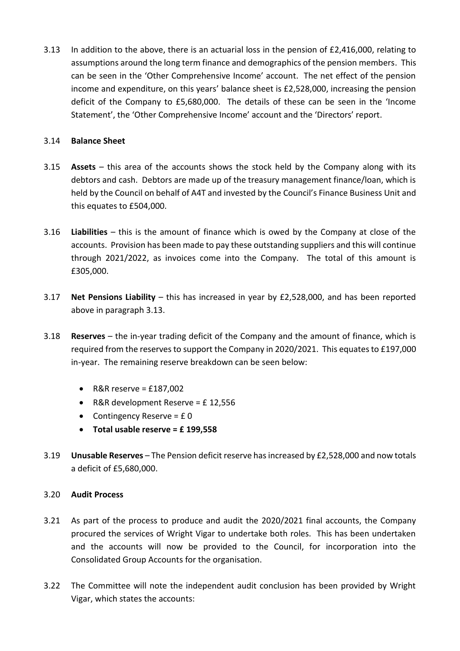3.13 In addition to the above, there is an actuarial loss in the pension of £2,416,000, relating to assumptions around the long term finance and demographics of the pension members. This can be seen in the 'Other Comprehensive Income' account. The net effect of the pension income and expenditure, on this years' balance sheet is £2,528,000, increasing the pension deficit of the Company to £5,680,000. The details of these can be seen in the 'Income Statement', the 'Other Comprehensive Income' account and the 'Directors' report.

### 3.14 **Balance Sheet**

- 3.15 **Assets** this area of the accounts shows the stock held by the Company along with its debtors and cash. Debtors are made up of the treasury management finance/loan, which is held by the Council on behalf of A4T and invested by the Council's Finance Business Unit and this equates to £504,000.
- 3.16 **Liabilities** this is the amount of finance which is owed by the Company at close of the accounts. Provision has been made to pay these outstanding suppliers and this will continue through 2021/2022, as invoices come into the Company. The total of this amount is £305,000.
- 3.17 **Net Pensions Liability** this has increased in year by £2,528,000, and has been reported above in paragraph 3.13.
- 3.18 **Reserves** the in-year trading deficit of the Company and the amount of finance, which is required from the reserves to support the Company in 2020/2021. This equates to £197,000 in-year. The remaining reserve breakdown can be seen below:
	- R&R reserve =  $£187,002$
	- R&R development Reserve = £12.556
	- Contingency Reserve =  $E_0$
	- **Total usable reserve = £ 199,558**
- 3.19 **Unusable Reserves** The Pension deficit reserve has increased by £2,528,000 and now totals a deficit of £5,680,000.

## 3.20 **Audit Process**

- 3.21 As part of the process to produce and audit the 2020/2021 final accounts, the Company procured the services of Wright Vigar to undertake both roles. This has been undertaken and the accounts will now be provided to the Council, for incorporation into the Consolidated Group Accounts for the organisation.
- 3.22 The Committee will note the independent audit conclusion has been provided by Wright Vigar, which states the accounts: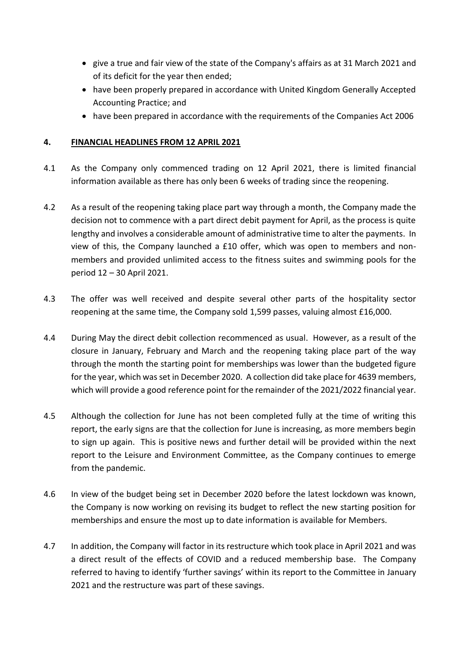- give a true and fair view of the state of the Company's affairs as at 31 March 2021 and of its deficit for the year then ended;
- have been properly prepared in accordance with United Kingdom Generally Accepted Accounting Practice; and
- have been prepared in accordance with the requirements of the Companies Act 2006

# **4. FINANCIAL HEADLINES FROM 12 APRIL 2021**

- 4.1 As the Company only commenced trading on 12 April 2021, there is limited financial information available as there has only been 6 weeks of trading since the reopening.
- 4.2 As a result of the reopening taking place part way through a month, the Company made the decision not to commence with a part direct debit payment for April, as the process is quite lengthy and involves a considerable amount of administrative time to alter the payments. In view of this, the Company launched a £10 offer, which was open to members and nonmembers and provided unlimited access to the fitness suites and swimming pools for the period 12 – 30 April 2021.
- 4.3 The offer was well received and despite several other parts of the hospitality sector reopening at the same time, the Company sold 1,599 passes, valuing almost £16,000.
- 4.4 During May the direct debit collection recommenced as usual. However, as a result of the closure in January, February and March and the reopening taking place part of the way through the month the starting point for memberships was lower than the budgeted figure for the year, which was set in December 2020. A collection did take place for 4639 members, which will provide a good reference point for the remainder of the 2021/2022 financial year.
- 4.5 Although the collection for June has not been completed fully at the time of writing this report, the early signs are that the collection for June is increasing, as more members begin to sign up again. This is positive news and further detail will be provided within the next report to the Leisure and Environment Committee, as the Company continues to emerge from the pandemic.
- 4.6 In view of the budget being set in December 2020 before the latest lockdown was known, the Company is now working on revising its budget to reflect the new starting position for memberships and ensure the most up to date information is available for Members.
- 4.7 In addition, the Company will factor in its restructure which took place in April 2021 and was a direct result of the effects of COVID and a reduced membership base. The Company referred to having to identify 'further savings' within its report to the Committee in January 2021 and the restructure was part of these savings.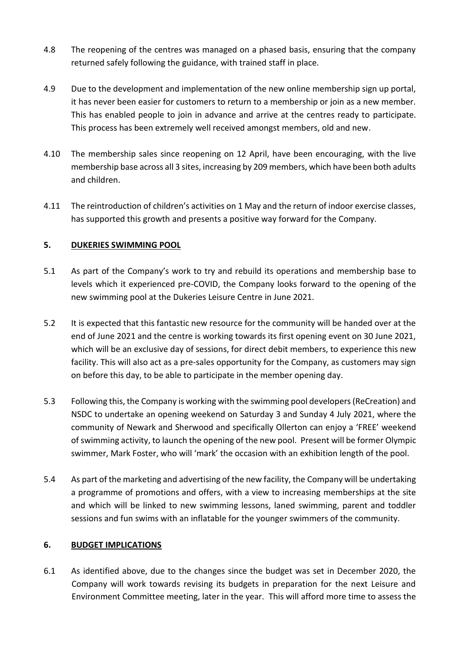- 4.8 The reopening of the centres was managed on a phased basis, ensuring that the company returned safely following the guidance, with trained staff in place.
- 4.9 Due to the development and implementation of the new online membership sign up portal, it has never been easier for customers to return to a membership or join as a new member. This has enabled people to join in advance and arrive at the centres ready to participate. This process has been extremely well received amongst members, old and new.
- 4.10 The membership sales since reopening on 12 April, have been encouraging, with the live membership base across all 3 sites, increasing by 209 members, which have been both adults and children.
- 4.11 The reintroduction of children's activities on 1 May and the return of indoor exercise classes, has supported this growth and presents a positive way forward for the Company.

## **5. DUKERIES SWIMMING POOL**

- 5.1 As part of the Company's work to try and rebuild its operations and membership base to levels which it experienced pre-COVID, the Company looks forward to the opening of the new swimming pool at the Dukeries Leisure Centre in June 2021.
- 5.2 It is expected that this fantastic new resource for the community will be handed over at the end of June 2021 and the centre is working towards its first opening event on 30 June 2021, which will be an exclusive day of sessions, for direct debit members, to experience this new facility. This will also act as a pre-sales opportunity for the Company, as customers may sign on before this day, to be able to participate in the member opening day.
- 5.3 Following this, the Company is working with the swimming pool developers (ReCreation) and NSDC to undertake an opening weekend on Saturday 3 and Sunday 4 July 2021, where the community of Newark and Sherwood and specifically Ollerton can enjoy a 'FREE' weekend of swimming activity, to launch the opening of the new pool. Present will be former Olympic swimmer, Mark Foster, who will 'mark' the occasion with an exhibition length of the pool.
- 5.4 As part of the marketing and advertising of the new facility, the Company will be undertaking a programme of promotions and offers, with a view to increasing memberships at the site and which will be linked to new swimming lessons, laned swimming, parent and toddler sessions and fun swims with an inflatable for the younger swimmers of the community.

## **6. BUDGET IMPLICATIONS**

6.1 As identified above, due to the changes since the budget was set in December 2020, the Company will work towards revising its budgets in preparation for the next Leisure and Environment Committee meeting, later in the year. This will afford more time to assess the